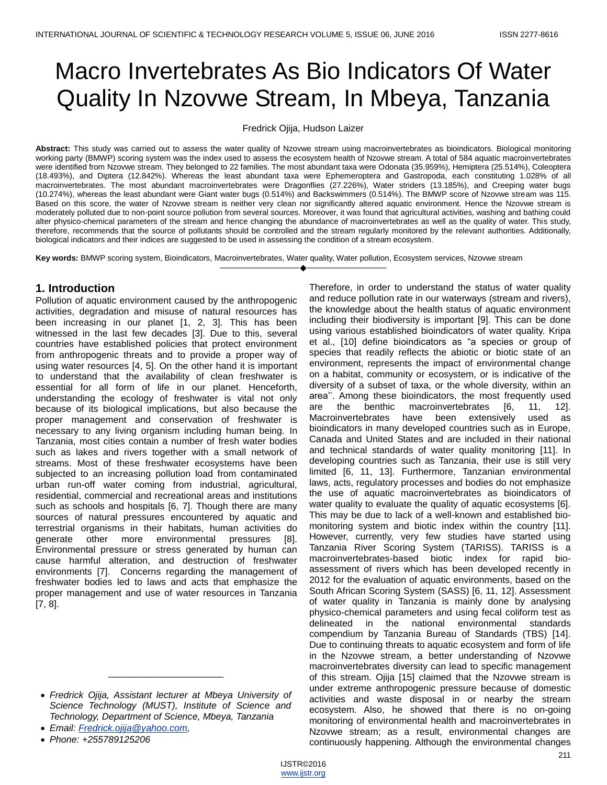# Macro Invertebrates As Bio Indicators Of Water Quality In Nzovwe Stream, In Mbeya, Tanzania

Fredrick Ojija, Hudson Laizer

**Abstract:** This study was carried out to assess the water quality of Nzovwe stream using macroinvertebrates as bioindicators. Biological monitoring working party (BMWP) scoring system was the index used to assess the ecosystem health of Nzovwe stream. A total of 584 aquatic macroinvertebrates were identified from Nzovwe stream. They belonged to 22 families. The most abundant taxa were Odonata (35.959%), Hemiptera (25.514%), Coleoptera (18.493%), and Diptera (12.842%). Whereas the least abundant taxa were Ephemeroptera and Gastropoda, each constituting 1.028% of all macroinvertebrates. The most abundant macroinvertebrates were Dragonflies (27.226%), Water striders (13.185%), and Creeping water bugs (10.274%), whereas the least abundant were Giant water bugs (0.514%) and Backswimmers (0.514%). The BMWP score of Nzovwe stream was 115. Based on this score, the water of Nzovwe stream is neither very clean nor significantly altered aquatic environment. Hence the Nzovwe stream is moderately polluted due to non-point source pollution from several sources. Moreover, it was found that agricultural activities, washing and bathing could alter physico-chemical parameters of the stream and hence changing the abundance of macroinvertebrates as well as the quality of water. This study, therefore, recommends that the source of pollutants should be controlled and the stream regularly monitored by the relevant authorities. Additionally, biological indicators and their indices are suggested to be used in assessing the condition of a stream ecosystem.

————————————————————

**Key words:** BMWP scoring system, Bioindicators, Macroinvertebrates, Water quality, Water pollution, Ecosystem services, Nzovwe stream

# **1. Introduction**

Pollution of aquatic environment caused by the anthropogenic activities, degradation and misuse of natural resources has been increasing in our planet [1, 2, 3]. This has been witnessed in the last few decades [3]. Due to this, several countries have established policies that protect environment from anthropogenic threats and to provide a proper way of using water resources [4, 5]. On the other hand it is important to understand that the availability of clean freshwater is essential for all form of life in our planet. Henceforth, understanding the ecology of freshwater is vital not only because of its biological implications, but also because the proper management and conservation of freshwater is necessary to any living organism including human being. In Tanzania, most cities contain a number of fresh water bodies such as lakes and rivers together with a small network of streams. Most of these freshwater ecosystems have been subjected to an increasing pollution load from contaminated urban run-off water coming from industrial, agricultural, residential, commercial and recreational areas and institutions such as schools and hospitals [6, 7]. Though there are many sources of natural pressures encountered by aquatic and terrestrial organisms in their habitats, human activities do generate other more environmental pressures [8]. Environmental pressure or stress generated by human can cause harmful alteration, and destruction of freshwater environments [7]. Concerns regarding the management of freshwater bodies led to laws and acts that emphasize the proper management and use of water resources in Tanzania [7, 8].

\_\_\_\_\_\_\_\_\_\_\_\_\_\_\_\_\_\_\_\_\_\_

*Email: [Fredrick.ojija@yahoo.com,](mailto:Fredrick.ojija@yahoo.com)*

Therefore, in order to understand the status of water quality and reduce pollution rate in our waterways (stream and rivers), the knowledge about the health status of aquatic environment including their biodiversity is important [9]. This can be done using various established bioindicators of water quality. Kripa et al., [10] define bioindicators as "a species or group of species that readily reflects the abiotic or biotic state of an environment, represents the impact of environmental change on a habitat, community or ecosystem, or is indicative of the diversity of a subset of taxa, or the whole diversity, within an area''. Among these bioindicators, the most frequently used are the benthic macroinvertebrates [6, 11, 12]. Macroinvertebrates have been extensively used as bioindicators in many developed countries such as in Europe, Canada and United States and are included in their national and technical standards of water quality monitoring [11]. In developing countries such as Tanzania, their use is still very limited [6, 11, 13]. Furthermore, Tanzanian environmental laws, acts, regulatory processes and bodies do not emphasize the use of aquatic macroinvertebrates as bioindicators of water quality to evaluate the quality of aquatic ecosystems [6]. This may be due to lack of a well-known and established biomonitoring system and biotic index within the country [11]. However, currently, very few studies have started using Tanzania River Scoring System (TARISS). TARISS is a macroinvertebrates-based biotic index for rapid bioassessment of rivers which has been developed recently in 2012 for the evaluation of aquatic environments, based on the South African Scoring System (SASS) [6, 11, 12]. Assessment of water quality in Tanzania is mainly done by analysing physico-chemical parameters and using fecal coliform test as delineated in the national environmental standards compendium by Tanzania Bureau of Standards (TBS) [14]. Due to continuing threats to aquatic ecosystem and form of life in the Nzovwe stream, a better understanding of Nzovwe macroinvertebrates diversity can lead to specific management of this stream. Ojija [15] claimed that the Nzovwe stream is under extreme anthropogenic pressure because of domestic activities and waste disposal in or nearby the stream ecosystem. Also, he showed that there is no on-going monitoring of environmental health and macroinvertebrates in Nzovwe stream; as a result, environmental changes are continuously happening. Although the environmental changes

*Fredrick Ojija, Assistant lecturer at Mbeya University of Science Technology (MUST), Institute of Science and Technology, Department of Science, Mbeya, Tanzania*

*Phone: +255789125206*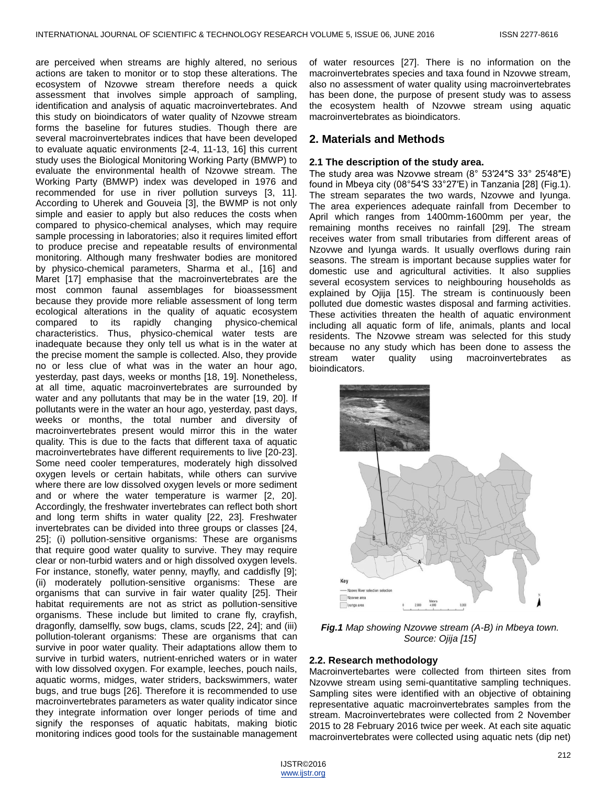are perceived when streams are highly altered, no serious actions are taken to monitor or to stop these alterations. The ecosystem of Nzovwe stream therefore needs a quick assessment that involves simple approach of sampling, identification and analysis of aquatic macroinvertebrates. And this study on bioindicators of water quality of Nzovwe stream forms the baseline for futures studies. Though there are several macroinvertebrates indices that have been developed to evaluate aquatic environments [2-4, 11-13, 16] this current study uses the Biological Monitoring Working Party (BMWP) to evaluate the environmental health of Nzovwe stream. The Working Party (BMWP) index was developed in 1976 and recommended for use in river pollution surveys [3, 11]. According to Uherek and Gouveia [3], the BWMP is not only simple and easier to apply but also reduces the costs when compared to physico-chemical analyses, which may require sample processing in laboratories; also it requires limited effort to produce precise and repeatable results of environmental monitoring. Although many freshwater bodies are monitored by physico-chemical parameters, Sharma et al., [16] and Maret [17] emphasise that the macroinvertebrates are the most common faunal assemblages for bioassessment because they provide more reliable assessment of long term ecological alterations in the quality of aquatic ecosystem compared to its rapidly changing physico-chemical characteristics. Thus, physico-chemical water tests are inadequate because they only tell us what is in the water at the precise moment the sample is collected. Also, they provide no or less clue of what was in the water an hour ago, yesterday, past days, weeks or months [18, 19]. Nonetheless, at all time, aquatic macroinvertebrates are surrounded by water and any pollutants that may be in the water [19, 20]. If pollutants were in the water an hour ago, yesterday, past days, weeks or months, the total number and diversity of macroinvertebrates present would mirror this in the water quality. This is due to the facts that different taxa of aquatic macroinvertebrates have different requirements to live [20-23]. Some need cooler temperatures, moderately high dissolved oxygen levels or certain habitats, while others can survive where there are low dissolved oxygen levels or more sediment and or where the water temperature is warmer [2, 20]. Accordingly, the freshwater invertebrates can reflect both short and long term shifts in water quality [22, 23]. Freshwater invertebrates can be divided into three groups or classes [24, 25]; (i) pollution-sensitive organisms: These are organisms that require good water quality to survive. They may require clear or non-turbid waters and or high dissolved oxygen levels. For instance, stonefly, water penny, mayfly, and caddisfly [9]; (ii) moderately pollution-sensitive organisms: These are organisms that can survive in fair water quality [25]. Their habitat requirements are not as strict as pollution-sensitive organisms. These include but limited to crane fly, crayfish, dragonfly, damselfly, sow bugs, clams, scuds [22, 24]; and (iii) pollution-tolerant organisms: These are organisms that can survive in poor water quality. Their adaptations allow them to survive in turbid waters, nutrient-enriched waters or in water with low dissolved oxygen. For example, leeches, pouch nails, aquatic worms, midges, water striders, backswimmers, water bugs, and true bugs [26]. Therefore it is recommended to use macroinvertebrates parameters as water quality indicator since they integrate information over longer periods of time and signify the responses of aquatic habitats, making biotic monitoring indices good tools for the sustainable management

of water resources [27]. There is no information on the macroinvertebrates species and taxa found in Nzovwe stream, also no assessment of water quality using macroinvertebrates has been done, the purpose of present study was to assess the ecosystem health of Nzovwe stream using aquatic macroinvertebrates as bioindicators.

## **2. Materials and Methods**

#### **2.1 The description of the study area.**

The study area was Nzovwe stream (8° 53′24″S 33° 25′48″E) found in Mbeya city (08°54′S 33°27′E) in Tanzania [28] (Fig.1). The stream separates the two wards, Nzovwe and Iyunga. The area experiences adequate rainfall from December to April which ranges from 1400mm-1600mm per year, the remaining months receives no rainfall [29]. The stream receives water from small tributaries from different areas of Nzovwe and Iyunga wards. It usually overflows during rain seasons. The stream is important because supplies water for domestic use and agricultural activities. It also supplies several ecosystem services to neighbouring households as explained by Ojija [15]. The stream is continuously been polluted due domestic wastes disposal and farming activities. These activities threaten the health of aquatic environment including all aquatic form of life, animals, plants and local residents. The Nzovwe stream was selected for this study because no any study which has been done to assess the stream water quality using macroinvertebrates as bioindicators.



*Fig.1 Map showing Nzovwe stream (A-B) in Mbeya town. Source: Ojija [15]*

#### **2.2. Research methodology**

Macroinvertebartes were collected from thirteen sites from Nzovwe stream using semi-quantitative sampling techniques. Sampling sites were identified with an objective of obtaining representative aquatic macroinvertebrates samples from the stream. Macroinvertebrates were collected from 2 November 2015 to 28 February 2016 twice per week. At each site aquatic macroinvertebrates were collected using aquatic nets (dip net)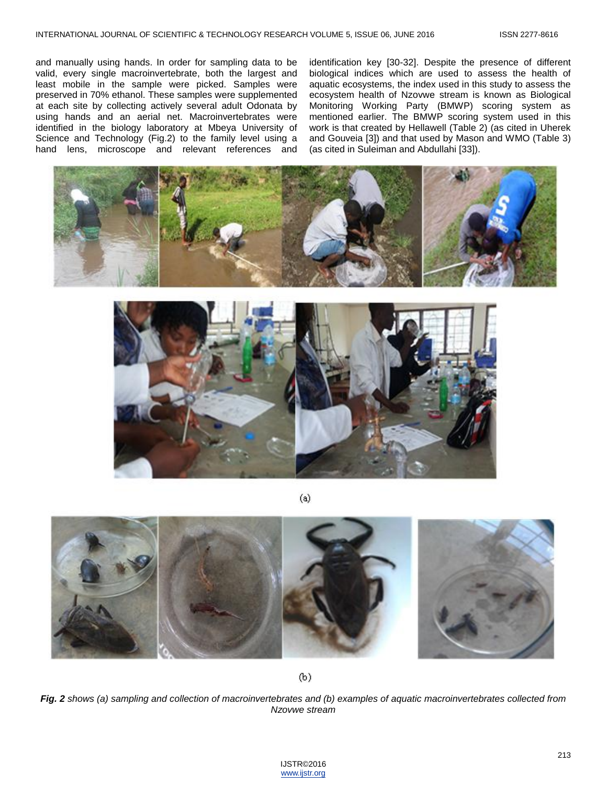and manually using hands. In order for sampling data to be valid, every single macroinvertebrate, both the largest and least mobile in the sample were picked. Samples were preserved in 70% ethanol. These samples were supplemented at each site by collecting actively several adult Odonata by using hands and an aerial net. Macroinvertebrates were identified in the biology laboratory at Mbeya University of Science and Technology (Fig.2) to the family level using a hand lens, microscope and relevant references and

identification key [30-32]. Despite the presence of different biological indices which are used to assess the health of aquatic ecosystems, the index used in this study to assess the ecosystem health of Nzovwe stream is known as Biological Monitoring Working Party (BMWP) scoring system as mentioned earlier. The BMWP scoring system used in this work is that created by Hellawell (Table 2) (as cited in Uherek and Gouveia [3]) and that used by Mason and WMO (Table 3) (as cited in Suleiman and Abdullahi [33]).





 $(a)$ 



 $(b)$ 

*Fig. 2 shows (a) sampling and collection of macroinvertebrates and (b) examples of aquatic macroinvertebrates collected from Nzovwe stream*

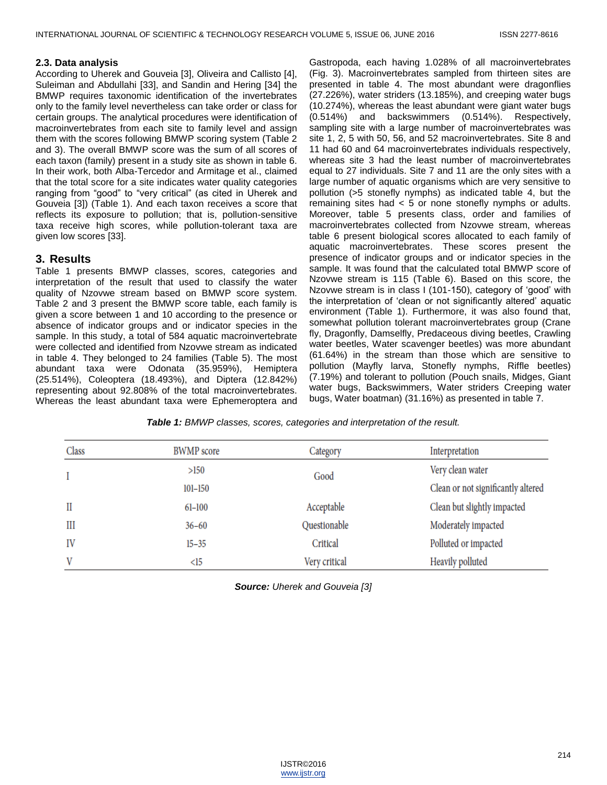#### **2.3. Data analysis**

According to Uherek and Gouveia [3], Oliveira and Callisto [4], Suleiman and Abdullahi [33], and Sandin and Hering [34] the BMWP requires taxonomic identification of the invertebrates only to the family level nevertheless can take order or class for certain groups. The analytical procedures were identification of macroinvertebrates from each site to family level and assign them with the scores following BMWP scoring system (Table 2 and 3). The overall BMWP score was the sum of all scores of each taxon (family) present in a study site as shown in table 6. In their work, both Alba-Tercedor and Armitage et al., claimed that the total score for a site indicates water quality categories ranging from "good" to "very critical" (as cited in Uherek and Gouveia [3]) (Table 1). And each taxon receives a score that reflects its exposure to pollution; that is, pollution-sensitive taxa receive high scores, while pollution-tolerant taxa are given low scores [33].

## **3. Results**

Table 1 presents BMWP classes, scores, categories and interpretation of the result that used to classify the water quality of Nzovwe stream based on BMWP score system. Table 2 and 3 present the BMWP score table, each family is given a score between 1 and 10 according to the presence or absence of indicator groups and or indicator species in the sample. In this study, a total of 584 aquatic macroinvertebrate were collected and identified from Nzovwe stream as indicated in table 4. They belonged to 24 families (Table 5). The most abundant taxa were Odonata (35.959%), Hemiptera (25.514%), Coleoptera (18.493%), and Diptera (12.842%) representing about 92.808% of the total macroinvertebrates. Whereas the least abundant taxa were Ephemeroptera and

Gastropoda, each having 1.028% of all macroinvertebrates (Fig. 3). Macroinvertebrates sampled from thirteen sites are presented in table 4. The most abundant were dragonflies (27.226%), water striders (13.185%), and creeping water bugs (10.274%), whereas the least abundant were giant water bugs (0.514%) and backswimmers (0.514%). Respectively, sampling site with a large number of macroinvertebrates was site 1, 2, 5 with 50, 56, and 52 macroinvertebrates. Site 8 and 11 had 60 and 64 macroinvertebrates individuals respectively, whereas site 3 had the least number of macroinvertebrates equal to 27 individuals. Site 7 and 11 are the only sites with a large number of aquatic organisms which are very sensitive to pollution (>5 stonefly nymphs) as indicated table 4, but the remaining sites had < 5 or none stonefly nymphs or adults. Moreover, table 5 presents class, order and families of macroinvertebrates collected from Nzovwe stream, whereas table 6 present biological scores allocated to each family of aquatic macroinvertebrates. These scores present the presence of indicator groups and or indicator species in the sample. It was found that the calculated total BMWP score of Nzovwe stream is 115 (Table 6). Based on this score, the Nzovwe stream is in class I (101-150), category of 'good' with the interpretation of 'clean or not significantly altered' aquatic environment (Table 1). Furthermore, it was also found that, somewhat pollution tolerant macroinvertebrates group (Crane fly, Dragonfly, Damselfly, Predaceous diving beetles, Crawling water beetles, Water scavenger beetles) was more abundant (61.64%) in the stream than those which are sensitive to pollution (Mayfly larva, Stonefly nymphs, Riffle beetles) (7.19%) and tolerant to pollution (Pouch snails, Midges, Giant water bugs, Backswimmers, Water striders Creeping water bugs, Water boatman) (31.16%) as presented in table 7.

*Table 1: BMWP classes, scores, categories and interpretation of the result.*

| Class | <b>BWMP</b> score | Category      | Interpretation                     |
|-------|-------------------|---------------|------------------------------------|
|       | >150              | Good          | Very clean water                   |
|       | $101 - 150$       |               | Clean or not significantly altered |
| П     | $61 - 100$        | Acceptable    | Clean but slightly impacted        |
| Ш     | $36 - 60$         | Questionable  | Moderately impacted                |
| IV    | $15 - 35$         | Critical      | Polluted or impacted               |
| V     | <15               | Very critical | Heavily polluted                   |

*Source: Uherek and Gouveia [3]*

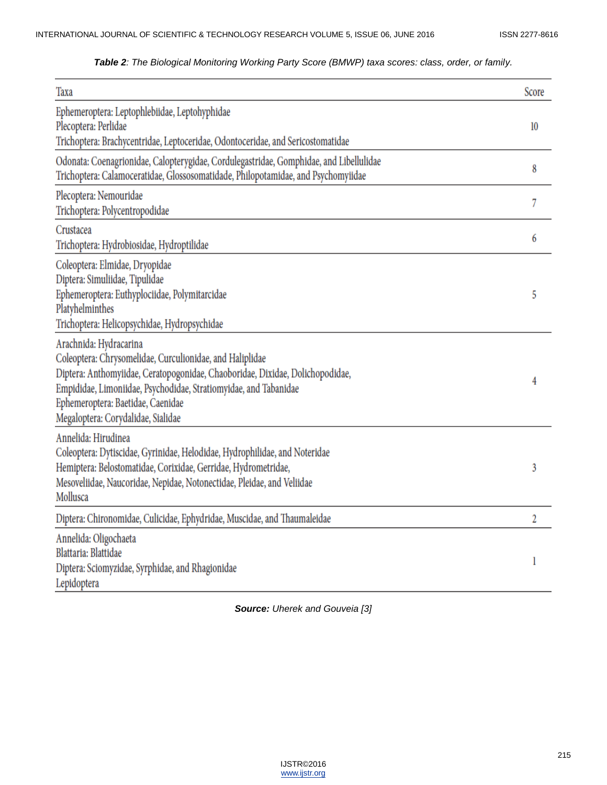# *Table 2: The Biological Monitoring Working Party Score (BMWP) taxa scores: class, order, or family.*

| Taxa                                                                                                                                                                                                                                                                                                               | Score |
|--------------------------------------------------------------------------------------------------------------------------------------------------------------------------------------------------------------------------------------------------------------------------------------------------------------------|-------|
| Ephemeroptera: Leptophlebiidae, Leptohyphidae<br>Plecoptera: Perlidae<br>Trichoptera: Brachycentridae, Leptoceridae, Odontoceridae, and Sericostomatidae                                                                                                                                                           | 10    |
| Odonata: Coenagrionidae, Calopterygidae, Cordulegastridae, Gomphidae, and Libellulidae<br>Trichoptera: Calamoceratidae, Glossosomatidade, Philopotamidae, and Psychomyiidae                                                                                                                                        | 8     |
| Plecoptera: Nemouridae<br>Trichoptera: Polycentropodidae                                                                                                                                                                                                                                                           | 7     |
| Crustacea<br>Trichoptera: Hydrobiosidae, Hydroptilidae                                                                                                                                                                                                                                                             | 6     |
| Coleoptera: Elmidae, Dryopidae<br>Diptera: Simuliidae, Tipulidae<br>Ephemeroptera: Euthyplociidae, Polymitarcidae<br>Platyhelminthes<br>Trichoptera: Helicopsychidae, Hydropsychidae                                                                                                                               | 5     |
| Arachnida: Hydracarina<br>Coleoptera: Chrysomelidae, Curculionidae, and Haliplidae<br>Diptera: Anthomyiidae, Ceratopogonidae, Chaoboridae, Dixidae, Dolichopodidae,<br>Empididae, Limoniidae, Psychodidae, Stratiomyidae, and Tabanidae<br>Ephemeroptera: Baetidae, Caenidae<br>Megaloptera: Corydalidae, Sialidae | 4     |
| Annelida: Hirudinea<br>Coleoptera: Dytiscidae, Gyrinidae, Helodidae, Hydrophilidae, and Noteridae<br>Hemiptera: Belostomatidae, Corixidae, Gerridae, Hydrometridae,<br>Mesoveliidae, Naucoridae, Nepidae, Notonectidae, Pleidae, and Veliidae<br>Mollusca                                                          | 3     |
| Diptera: Chironomidae, Culicidae, Ephydridae, Muscidae, and Thaumaleidae                                                                                                                                                                                                                                           | 2     |
| Annelida: Oligochaeta<br>Blattaria: Blattidae<br>Diptera: Sciomyzidae, Syrphidae, and Rhagionidae<br>Lepidoptera                                                                                                                                                                                                   | 1     |

*Source: Uherek and Gouveia [3]*

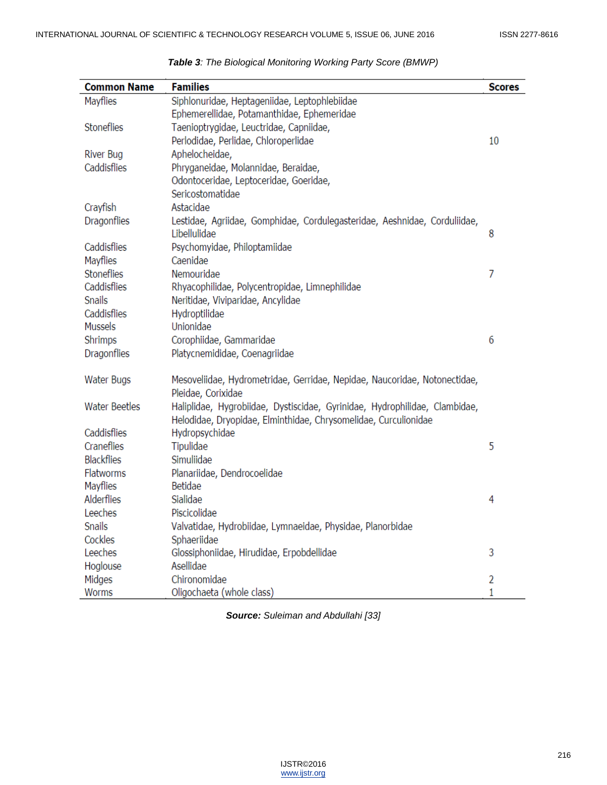| <b>Common Name</b>   | <b>Families</b>                                                            | <b>Scores</b> |
|----------------------|----------------------------------------------------------------------------|---------------|
| Mayflies             | Siphlonuridae, Heptageniidae, Leptophlebiidae                              |               |
|                      | Ephemerellidae, Potamanthidae, Ephemeridae                                 |               |
| Stoneflies           | Taenioptrygidae, Leuctridae, Capniidae,                                    |               |
|                      | Perlodidae, Perlidae, Chloroperlidae                                       | 10            |
| River Bug            | Aphelocheidae,                                                             |               |
| Caddisflies          | Phryganeidae, Molannidae, Beraidae,                                        |               |
|                      | Odontoceridae, Leptoceridae, Goeridae,                                     |               |
|                      | Sericostomatidae                                                           |               |
| Crayfish             | Astacidae                                                                  |               |
| <b>Dragonflies</b>   | Lestidae, Agriidae, Gomphidae, Cordulegasteridae, Aeshnidae, Corduliidae,  |               |
|                      | Libellulidae                                                               | 8             |
| Caddisflies          | Psychomyidae, Philoptamiidae                                               |               |
| Mayflies             | Caenidae                                                                   |               |
| <b>Stoneflies</b>    | Nemouridae                                                                 | 7             |
| Caddisflies          | Rhyacophilidae, Polycentropidae, Limnephilidae                             |               |
| Snails               | Neritidae, Viviparidae, Ancylidae                                          |               |
| Caddisflies          | Hydroptilidae                                                              |               |
| Mussels              | Unionidae                                                                  |               |
| Shrimps              | Corophiidae, Gammaridae                                                    | 6             |
| Dragonflies          | Platycnemididae, Coenagriidae                                              |               |
| Water Bugs           | Mesoveliidae, Hydrometridae, Gerridae, Nepidae, Naucoridae, Notonectidae,  |               |
|                      | Pleidae, Corixidae                                                         |               |
| <b>Water Beetles</b> | Haliplidae, Hygrobiidae, Dystiscidae, Gyrinidae, Hydrophilidae, Clambidae, |               |
|                      | Helodidae, Dryopidae, Elminthidae, Chrysomelidae, Curculionidae            |               |
| Caddisflies          | Hydropsychidae                                                             |               |
| Craneflies           | Tipulidae                                                                  | 5             |
| <b>Blackflies</b>    | Simuliidae                                                                 |               |
| <b>Flatworms</b>     | Planariidae, Dendrocoelidae                                                |               |
| Mayflies             | Betidae                                                                    |               |
| Alderflies           | Sialidae                                                                   | 4             |
| Leeches              | Piscicolidae                                                               |               |
| <b>Snails</b>        | Valvatidae, Hydrobiidae, Lymnaeidae, Physidae, Planorbidae                 |               |
| Cockles              | Sphaeriidae                                                                |               |
| Leeches              | Glossiphoniidae, Hirudidae, Erpobdellidae                                  | 3             |
| Hoglouse             | Asellidae                                                                  |               |
| Midges               | Chironomidae                                                               | 2             |
| Worms                | Oligochaeta (whole class)                                                  | 1             |

| Table 3: The Biological Monitoring Working Party Score (BMWP) |  |  |  |  |
|---------------------------------------------------------------|--|--|--|--|
|                                                               |  |  |  |  |

*Source: Suleiman and Abdullahi [33]*

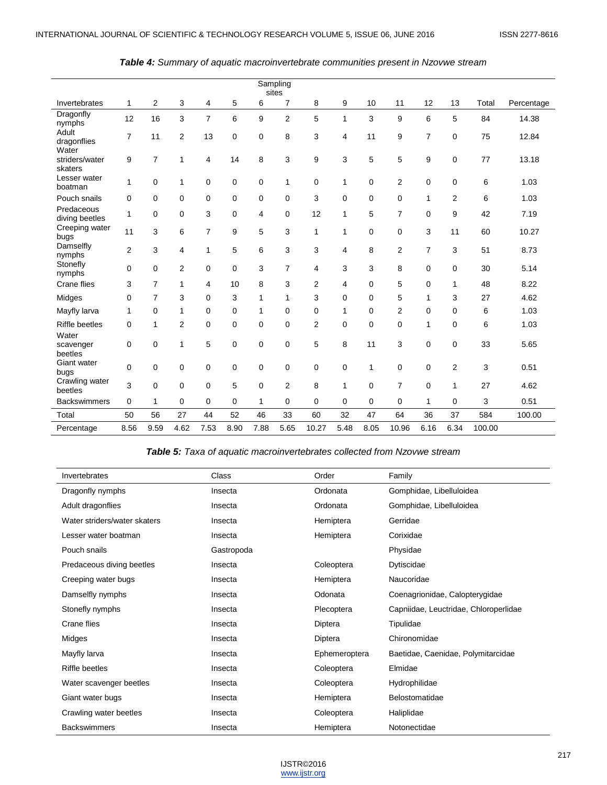|                                    |                |                |                |                |      |      | Sampling<br>sites |              |              |              |                |                |      |        |            |
|------------------------------------|----------------|----------------|----------------|----------------|------|------|-------------------|--------------|--------------|--------------|----------------|----------------|------|--------|------------|
| Invertebrates                      | $\mathbf{1}$   | $\overline{2}$ | 3              | 4              | 5    | 6    | $\overline{7}$    | 8            | 9            | 10           | 11             | 12             | 13   | Total  | Percentage |
| Dragonfly<br>nymphs                | 12             | 16             | 3              | $\overline{7}$ | 6    | 9    | $\overline{2}$    | 5            | 1            | 3            | 9              | 6              | 5    | 84     | 14.38      |
| Adult<br>dragonflies               | $\overline{7}$ | 11             | $\overline{2}$ | 13             | 0    | 0    | 8                 | 3            | 4            | 11           | 9              | $\overline{7}$ | 0    | 75     | 12.84      |
| Water<br>striders/water<br>skaters | 9              | 7              | 1              | 4              | 14   | 8    | 3                 | 9            | 3            | 5            | 5              | 9              | 0    | 77     | 13.18      |
| Lesser water<br>boatman            | 1              | 0              | 1              | 0              | 0    | 0    | 1                 | 0            | 1            | $\mathbf 0$  | $\overline{2}$ | $\mathbf 0$    | 0    | 6      | 1.03       |
| Pouch snails                       | 0              | 0              | 0              | 0              | 0    | 0    | 0                 | 3            | 0            | 0            | 0              | 1              | 2    | 6      | 1.03       |
| Predaceous<br>diving beetles       | 1              | 0              | 0              | 3              | 0    | 4    | 0                 | 12           | 1            | 5            | $\overline{7}$ | $\mathbf 0$    | 9    | 42     | 7.19       |
| Creeping water<br>bugs             | 11             | 3              | 6              | $\overline{7}$ | 9    | 5    | 3                 | $\mathbf{1}$ | 1            | $\mathbf 0$  | $\mathbf 0$    | 3              | 11   | 60     | 10.27      |
| Damselfly<br>nymphs                | 2              | 3              | 4              | 1              | 5    | 6    | 3                 | 3            | 4            | 8            | $\overline{2}$ | $\overline{7}$ | 3    | 51     | 8.73       |
| Stonefly<br>nymphs                 | $\mathbf 0$    | 0              | $\overline{2}$ | $\mathbf 0$    | 0    | 3    | $\overline{7}$    | 4            | 3            | 3            | 8              | $\mathbf 0$    | 0    | 30     | 5.14       |
| Crane flies                        | 3              | 7              | 1              | 4              | 10   | 8    | 3                 | 2            | 4            | 0            | 5              | 0              | 1    | 48     | 8.22       |
| Midges                             | $\mathbf 0$    | 7              | 3              | $\Omega$       | 3    | 1    | 1                 | 3            | 0            | 0            | 5              | 1              | 3    | 27     | 4.62       |
| Mayfly larva                       | 1              | 0              | $\mathbf{1}$   | $\mathbf 0$    | 0    | 1    | 0                 | 0            | 1            | $\mathbf 0$  | $\overline{2}$ | $\mathbf 0$    | 0    | 6      | 1.03       |
| <b>Riffle beetles</b>              | 0              | 1              | 2              | 0              | 0    | 0    | 0                 | 2            | 0            | $\mathbf 0$  | $\mathbf 0$    | 1              | 0    | 6      | 1.03       |
| Water<br>scavenger<br>beetles      | $\mathbf 0$    | 0              | 1              | 5              | 0    | 0    | $\mathbf 0$       | 5            | 8            | 11           | 3              | $\mathbf 0$    | 0    | 33     | 5.65       |
| Giant water<br>bugs                | $\Omega$       | 0              | 0              | $\mathbf 0$    | 0    | 0    | $\mathbf 0$       | 0            | $\mathbf 0$  | $\mathbf{1}$ | $\mathbf 0$    | $\mathbf 0$    | 2    | 3      | 0.51       |
| Crawling water<br>beetles          | 3              | 0              | 0              | 0              | 5    | 0    | $\overline{2}$    | 8            | $\mathbf{1}$ | $\mathbf 0$  | $\overline{7}$ | $\mathbf 0$    | 1    | 27     | 4.62       |
| <b>Backswimmers</b>                | 0              | 1              | 0              | $\mathbf 0$    | 0    | 1    | 0                 | 0            | $\mathbf 0$  | $\mathbf 0$  | 0              | $\mathbf 1$    | 0    | 3      | 0.51       |
| Total                              | 50             | 56             | 27             | 44             | 52   | 46   | 33                | 60           | 32           | 47           | 64             | 36             | 37   | 584    | 100.00     |
| Percentage                         | 8.56           | 9.59           | 4.62           | 7.53           | 8.90 | 7.88 | 5.65              | 10.27        | 5.48         | 8.05         | 10.96          | 6.16           | 6.34 | 100.00 |            |

|  | Table 4: Summary of aquatic macroinvertebrate communities present in Nzovwe stream |  |  |
|--|------------------------------------------------------------------------------------|--|--|
|--|------------------------------------------------------------------------------------|--|--|

*Table 5: Taxa of aquatic macroinvertebrates collected from Nzovwe stream*

| Invertebrates                | Class      | Order         | Family                                |
|------------------------------|------------|---------------|---------------------------------------|
| Dragonfly nymphs             | Insecta    | Ordonata      | Gomphidae, Libelluloidea              |
| Adult dragonflies            | Insecta    | Ordonata      | Gomphidae, Libelluloidea              |
| Water striders/water skaters | Insecta    | Hemiptera     | Gerridae                              |
| Lesser water boatman         | Insecta    | Hemiptera     | Corixidae                             |
| Pouch snails                 | Gastropoda |               | Physidae                              |
| Predaceous diving beetles    | Insecta    | Coleoptera    | Dytiscidae                            |
| Creeping water bugs          | Insecta    | Hemiptera     | Naucoridae                            |
| Damselfly nymphs             | Insecta    | Odonata       | Coenagrionidae, Calopterygidae        |
| Stonefly nymphs              | Insecta    | Plecoptera    | Capniidae, Leuctridae, Chloroperlidae |
| Crane flies                  | Insecta    | Diptera       | Tipulidae                             |
| Midges                       | Insecta    | Diptera       | Chironomidae                          |
| Mayfly larva                 | Insecta    | Ephemeroptera | Baetidae, Caenidae, Polymitarcidae    |
| <b>Riffle beetles</b>        | Insecta    | Coleoptera    | Elmidae                               |
| Water scavenger beetles      | Insecta    | Coleoptera    | Hydrophilidae                         |
| Giant water bugs             | Insecta    | Hemiptera     | Belostomatidae                        |
| Crawling water beetles       | Insecta    | Coleoptera    | Haliplidae                            |
| <b>Backswimmers</b>          | Insecta    | Hemiptera     | Notonectidae                          |

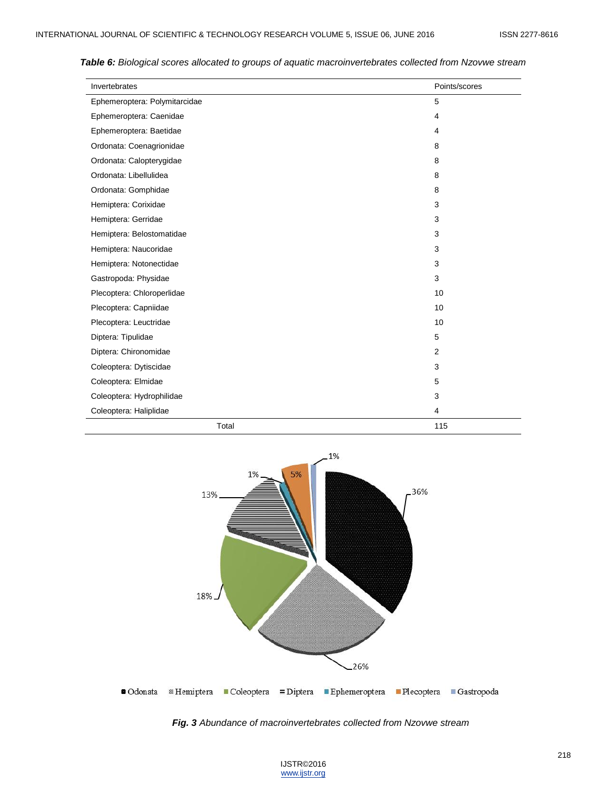| Invertebrates                 | Points/scores |
|-------------------------------|---------------|
| Ephemeroptera: Polymitarcidae | 5             |
| Ephemeroptera: Caenidae       | 4             |
| Ephemeroptera: Baetidae       | 4             |
| Ordonata: Coenagrionidae      | 8             |
| Ordonata: Calopterygidae      | 8             |
| Ordonata: Libellulidea        | 8             |
| Ordonata: Gomphidae           | 8             |
| Hemiptera: Corixidae          | 3             |
| Hemiptera: Gerridae           | 3             |
| Hemiptera: Belostomatidae     | 3             |
| Hemiptera: Naucoridae         | 3             |
| Hemiptera: Notonectidae       | 3             |
| Gastropoda: Physidae          | 3             |
| Plecoptera: Chloroperlidae    | 10            |
| Plecoptera: Capniidae         | 10            |
| Plecoptera: Leuctridae        | 10            |
| Diptera: Tipulidae            | 5             |
| Diptera: Chironomidae         | 2             |
| Coleoptera: Dytiscidae        | 3             |
| Coleoptera: Elmidae           | 5             |
| Coleoptera: Hydrophilidae     | 3             |
| Coleoptera: Haliplidae        | 4             |
| Total                         | 115           |

*Table 6: Biological scores allocated to groups of aquatic macroinvertebrates collected from Nzovwe stream*



*Fig. 3 Abundance of macroinvertebrates collected from Nzovwe stream*

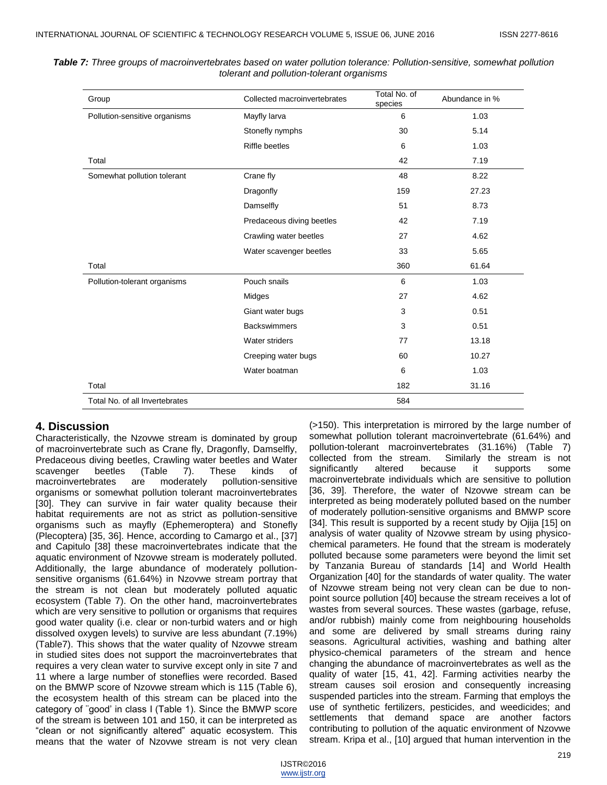| Group                          | Collected macroinvertebrates | Total No. of<br>species | Abundance in % |
|--------------------------------|------------------------------|-------------------------|----------------|
| Pollution-sensitive organisms  | Mayfly larva                 | 6                       | 1.03           |
|                                | Stonefly nymphs              | 30                      | 5.14           |
|                                | <b>Riffle beetles</b>        | 6                       | 1.03           |
| Total                          |                              | 42                      | 7.19           |
| Somewhat pollution tolerant    | Crane fly                    | 48                      | 8.22           |
|                                | Dragonfly                    | 159                     | 27.23          |
|                                | Damselfly                    | 51                      | 8.73           |
|                                | Predaceous diving beetles    | 42                      | 7.19           |
|                                | Crawling water beetles       | 27                      | 4.62           |
|                                | Water scavenger beetles      | 33                      | 5.65           |
| Total                          |                              | 360                     | 61.64          |
| Pollution-tolerant organisms   | Pouch snails                 | 6                       | 1.03           |
|                                | Midges                       | 27                      | 4.62           |
|                                | Giant water bugs             | 3                       | 0.51           |
|                                | <b>Backswimmers</b>          | 3                       | 0.51           |
|                                | Water striders               | 77                      | 13.18          |
|                                | Creeping water bugs          | 60                      | 10.27          |
|                                | Water boatman                | 6                       | 1.03           |
| Total                          |                              | 182                     | 31.16          |
| Total No. of all Invertebrates |                              | 584                     |                |

*Table 7: Three groups of macroinvertebrates based on water pollution tolerance: Pollution-sensitive, somewhat pollution tolerant and pollution-tolerant organisms*

### **4. Discussion**

Characteristically, the Nzovwe stream is dominated by group of macroinvertebrate such as Crane fly, Dragonfly, Damselfly, Predaceous diving beetles, Crawling water beetles and Water scavenger beetles (Table 7). These kinds of macroinvertebrates are moderately pollution-sensitive organisms or somewhat pollution tolerant macroinvertebrates [30]. They can survive in fair water quality because their habitat requirements are not as strict as pollution-sensitive organisms such as mayfly (Ephemeroptera) and Stonefly (Plecoptera) [35, 36]. Hence, according to Camargo et al., [37] and Capitulo [38] these macroinvertebrates indicate that the aquatic environment of Nzovwe stream is moderately polluted. Additionally, the large abundance of moderately pollutionsensitive organisms (61.64%) in Nzovwe stream portray that the stream is not clean but moderately polluted aquatic ecosystem (Table 7). On the other hand, macroinvertebrates which are very sensitive to pollution or organisms that requires good water quality (i.e. clear or non-turbid waters and or high dissolved oxygen levels) to survive are less abundant (7.19%) (Table7). This shows that the water quality of Nzovwe stream in studied sites does not support the macroinvertebrates that requires a very clean water to survive except only in site 7 and 11 where a large number of stoneflies were recorded. Based on the BMWP score of Nzovwe stream which is 115 (Table 6), the ecosystem health of this stream can be placed into the category of ¨good' in class I (Table 1). Since the BMWP score of the stream is between 101 and 150, it can be interpreted as ―clean or not significantly altered‖ aquatic ecosystem. This means that the water of Nzovwe stream is not very clean

(>150). This interpretation is mirrored by the large number of somewhat pollution tolerant macroinvertebrate (61.64%) and pollution-tolerant macroinvertebrates (31.16%) (Table 7) collected from the stream. Similarly the stream is not significantly altered because it supports some macroinvertebrate individuals which are sensitive to pollution [36, 39]. Therefore, the water of Nzovwe stream can be interpreted as being moderately polluted based on the number of moderately pollution-sensitive organisms and BMWP score [34]. This result is supported by a recent study by Ojija [15] on analysis of water quality of Nzovwe stream by using physicochemical parameters. He found that the stream is moderately polluted because some parameters were beyond the limit set by Tanzania Bureau of standards [14] and World Health Organization [40] for the standards of water quality. The water of Nzovwe stream being not very clean can be due to nonpoint source pollution [40] because the stream receives a lot of wastes from several sources. These wastes (garbage, refuse, and/or rubbish) mainly come from neighbouring households and some are delivered by small streams during rainy seasons. Agricultural activities, washing and bathing alter physico-chemical parameters of the stream and hence changing the abundance of macroinvertebrates as well as the quality of water [15, 41, 42]. Farming activities nearby the stream causes soil erosion and consequently increasing suspended particles into the stream. Farming that employs the use of synthetic fertilizers, pesticides, and weedicides; and settlements that demand space are another factors contributing to pollution of the aquatic environment of Nzovwe stream. Kripa et al., [10] argued that human intervention in the

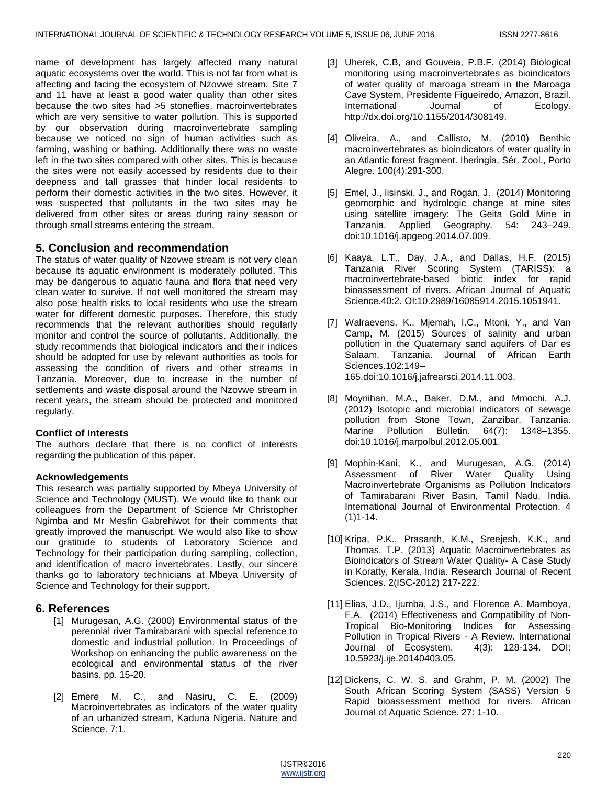name of development has largely affected many natural aquatic ecosystems over the world. This is not far from what is affecting and facing the ecosystem of Nzovwe stream. Site 7 and 11 have at least a good water quality than other sites because the two sites had >5 stoneflies, macroinvertebrates which are very sensitive to water pollution. This is supported by our observation during macroinvertebrate sampling because we noticed no sign of human activities such as farming, washing or bathing. Additionally there was no waste left in the two sites compared with other sites. This is because the sites were not easily accessed by residents due to their deepness and tall grasses that hinder local residents to perform their domestic activities in the two sites. However, it was suspected that pollutants in the two sites may be delivered from other sites or areas during rainy season or through small streams entering the stream.

# **5. Conclusion and recommendation**

The status of water quality of Nzovwe stream is not very clean because its aquatic environment is moderately polluted. This may be dangerous to aquatic fauna and flora that need very clean water to survive. If not well monitored the stream may also pose health risks to local residents who use the stream water for different domestic purposes. Therefore, this study recommends that the relevant authorities should regularly monitor and control the source of pollutants. Additionally, the study recommends that biological indicators and their indices should be adopted for use by relevant authorities as tools for assessing the condition of rivers and other streams in Tanzania. Moreover, due to increase in the number of settlements and waste disposal around the Nzovwe stream in recent years, the stream should be protected and monitored regularly.

# **Conflict of Interests**

The authors declare that there is no conflict of interests regarding the publication of this paper.

# **Acknowledgements**

This research was partially supported by Mbeya University of Science and Technology (MUST). We would like to thank our colleagues from the Department of Science Mr Christopher Ngimba and Mr Mesfin Gabrehiwot for their comments that greatly improved the manuscript. We would also like to show our gratitude to students of Laboratory Science and Technology for their participation during sampling, collection, and identification of macro invertebrates. Lastly, our sincere thanks go to laboratory technicians at Mbeya University of Science and Technology for their support.

# **6. References**

- [1] Murugesan, A.G. (2000) Environmental status of the perennial river Tamirabarani with special reference to domestic and industrial pollution. In Proceedings of Workshop on enhancing the public awareness on the ecological and environmental status of the river basins. pp. 15-20.
- [2] Emere M. C., and Nasiru, C. E. (2009) Macroinvertebrates as indicators of the water quality of an urbanized stream, Kaduna Nigeria. Nature and Science. 7:1.
- [3] Uherek, C.B, and Gouveia, P.B.F. (2014) Biological monitoring using macroinvertebrates as bioindicators of water quality of maroaga stream in the Maroaga Cave System, Presidente Figueiredo, Amazon, Brazil. International Journal of Ecology. http://dx.doi.org/10.1155/2014/308149.
- [4] Oliveira, A., and Callisto, M. (2010) Benthic macroinvertebrates as bioindicators of water quality in an Atlantic forest fragment. Iheringia, Sér. Zool., Porto Alegre. 100(4):291-300.
- [5] Emel, J., lisinski, J., and Rogan, J. (2014) Monitoring geomorphic and hydrologic change at mine sites using satellite imagery: The Geita Gold Mine in Tanzania. Applied Geography. 54: 243–249. doi:10.1016/j.apgeog.2014.07.009.
- [6] Kaaya, L.T., Day, J.A., and Dallas, H.F. (2015) Tanzania River Scoring System (TARISS): a macroinvertebrate-based biotic index for rapid bioassessment of rivers. African Journal of Aquatic Science.40:2. OI:10.2989/16085914.2015.1051941.
- [7] Walraevens, K., Mjemah, I.C., Mtoni, Y., and Van Camp, M. (2015) Sources of salinity and urban pollution in the Quaternary sand aquifers of Dar es Salaam, Tanzania. Journal of African Earth Sciences.102:149– 165.doi:10.1016/j.jafrearsci.2014.11.003.
- [8] Moynihan, M.A., Baker, D.M., and Mmochi, A.J. (2012) Isotopic and microbial indicators of sewage pollution from Stone Town, Zanzibar, Tanzania. Marine Pollution Bulletin. 64(7): 1348–1355. doi:10.1016/j.marpolbul.2012.05.001.
- [9] Mophin-Kani, K., and Murugesan, A.G. (2014) Assessment of River Water Quality Using Macroinvertebrate Organisms as Pollution Indicators of Tamirabarani River Basin, Tamil Nadu, India. International Journal of Environmental Protection. 4  $(1)1 - 14$ .
- [10] Kripa, P.K., Prasanth, K.M., Sreejesh, K.K., and Thomas, T.P. (2013) Aquatic Macroinvertebrates as Bioindicators of Stream Water Quality- A Case Study in Koratty, Kerala, India. Research Journal of Recent Sciences. 2(ISC-2012) 217-222.
- [11] Elias, J.D., Ijumba, J.S., and Florence A. Mamboya, F.A. (2014) Effectiveness and Compatibility of Non-Tropical Bio-Monitoring Indices for Assessing Pollution in Tropical Rivers - A Review. International Journal of Ecosystem. 4(3): 128-134. DOI: 10.5923/j.ije.20140403.05.
- [12] Dickens, C. W. S. and Grahm, P. M. (2002) The South African Scoring System (SASS) Version 5 Rapid bioassessment method for rivers. African Journal of Aquatic Science. 27: 1-10.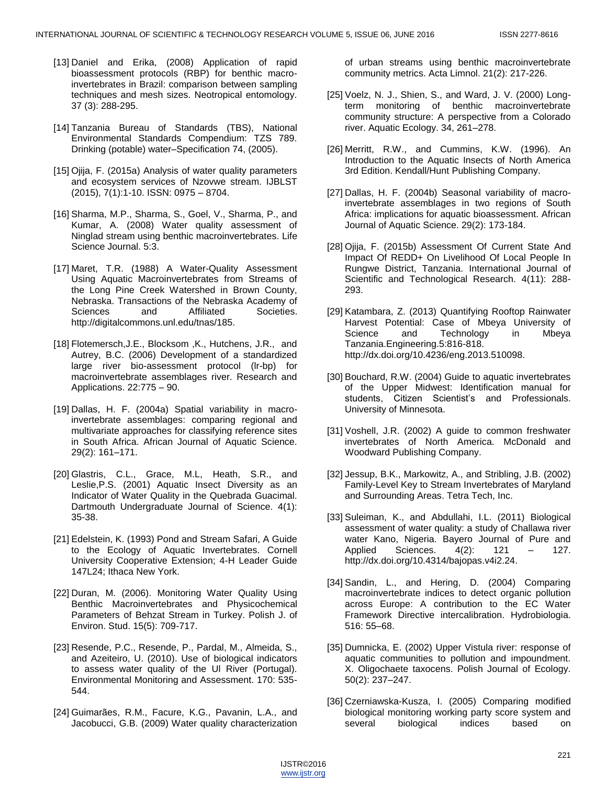- [13] Daniel and Erika, (2008) Application of rapid bioassessment protocols (RBP) for benthic macroinvertebrates in Brazil: comparison between sampling techniques and mesh sizes. Neotropical entomology. 37 (3): 288-295.
- [14] Tanzania Bureau of Standards (TBS), National Environmental Standards Compendium: TZS 789. Drinking (potable) water–Specification 74, (2005).
- [15] Ojija, F. (2015a) Analysis of water quality parameters and ecosystem services of Nzovwe stream. IJBLST (2015), 7(1):1-10. ISSN: 0975 – 8704.
- [16] Sharma, M.P., Sharma, S., Goel, V., Sharma, P., and Kumar, A. (2008) Water quality assessment of Ninglad stream using benthic macroinvertebrates. Life Science Journal. 5:3.
- [17] Maret, T.R. (1988) A Water-Quality Assessment Using Aquatic Macroinvertebrates from Streams of the Long Pine Creek Watershed in Brown County, Nebraska. Transactions of the Nebraska Academy of Sciences and Affiliated Societies. http://digitalcommons.unl.edu/tnas/185.
- [18] Flotemersch, J.E., Blocksom, K., Hutchens, J.R., and Autrey, B.C. (2006) Development of a standardized large river bio-assessment protocol (lr-bp) for macroinvertebrate assemblages river. Research and Applications. 22:775 – 90.
- [19] Dallas, H. F. (2004a) Spatial variability in macroinvertebrate assemblages: comparing regional and multivariate approaches for classifying reference sites in South Africa. African Journal of Aquatic Science. 29(2): 161–171.
- [20] Glastris, C.L., Grace, M.L, Heath, S.R., and Leslie,P.S. (2001) Aquatic Insect Diversity as an Indicator of Water Quality in the Quebrada Guacimal. Dartmouth Undergraduate Journal of Science. 4(1): 35-38.
- [21] Edelstein, K. (1993) Pond and Stream Safari, A Guide to the Ecology of Aquatic Invertebrates. Cornell University Cooperative Extension; 4-H Leader Guide 147L24; Ithaca New York.
- [22] Duran, M. (2006). Monitoring Water Quality Using Benthic Macroinvertebrates and Physicochemical Parameters of Behzat Stream in Turkey. Polish J. of Environ. Stud. 15(5): 709-717.
- [23] Resende, P.C., Resende, P., Pardal, M., Almeida, S., and Azeiteiro, U. (2010). Use of biological indicators to assess water quality of the Ul River (Portugal). Environmental Monitoring and Assessment. 170: 535- 544.
- [24] Guimarães, R.M., Facure, K.G., Pavanin, L.A., and Jacobucci, G.B. (2009) Water quality characterization

of urban streams using benthic macroinvertebrate community metrics. Acta Limnol. 21(2): 217-226.

- [25] Voelz, N. J., Shien, S., and Ward, J. V. (2000) Longterm monitoring of benthic macroinvertebrate community structure: A perspective from a Colorado river. Aquatic Ecology. 34, 261–278.
- [26] Merritt, R.W., and Cummins, K.W. (1996). An Introduction to the Aquatic Insects of North America 3rd Edition. Kendall/Hunt Publishing Company.
- [27] Dallas, H. F. (2004b) Seasonal variability of macroinvertebrate assemblages in two regions of South Africa: implications for aquatic bioassessment. African Journal of Aquatic Science. 29(2): 173-184.
- [28] Ojija, F. (2015b) Assessment Of Current State And Impact Of REDD+ On Livelihood Of Local People In Rungwe District, Tanzania. International Journal of Scientific and Technological Research. 4(11): 288- 293.
- [29] Katambara, Z. (2013) Quantifying Rooftop Rainwater Harvest Potential: Case of Mbeya University of Science and Technology in Mbeya Tanzania.Engineering.5:816-818. http://dx.doi.org/10.4236/eng.2013.510098.
- [30] Bouchard, R.W. (2004) Guide to aquatic invertebrates of the Upper Midwest: Identification manual for students, Citizen Scientist's and Professionals. University of Minnesota.
- [31] Voshell, J.R. (2002) A guide to common freshwater invertebrates of North America. McDonald and Woodward Publishing Company.
- [32] Jessup, B.K., Markowitz, A., and Stribling, J.B. (2002) Family-Level Key to Stream Invertebrates of Maryland and Surrounding Areas. Tetra Tech, Inc.
- [33] Suleiman, K., and Abdullahi, I.L. (2011) Biological assessment of water quality: a study of Challawa river water Kano, Nigeria. Bayero Journal of Pure and Applied Sciences. 4(2): 121 – 127. http://dx.doi.org/10.4314/bajopas.v4i2.24.
- [34] Sandin, L., and Hering, D. (2004) Comparing macroinvertebrate indices to detect organic pollution across Europe: A contribution to the EC Water Framework Directive intercalibration. Hydrobiologia. 516: 55–68.
- [35] Dumnicka, E. (2002) Upper Vistula river: response of aquatic communities to pollution and impoundment. X. Oligochaete taxocens. Polish Journal of Ecology. 50(2): 237–247.
- [36] Czerniawska-Kusza, I. (2005) Comparing modified biological monitoring working party score system and several biological indices based on